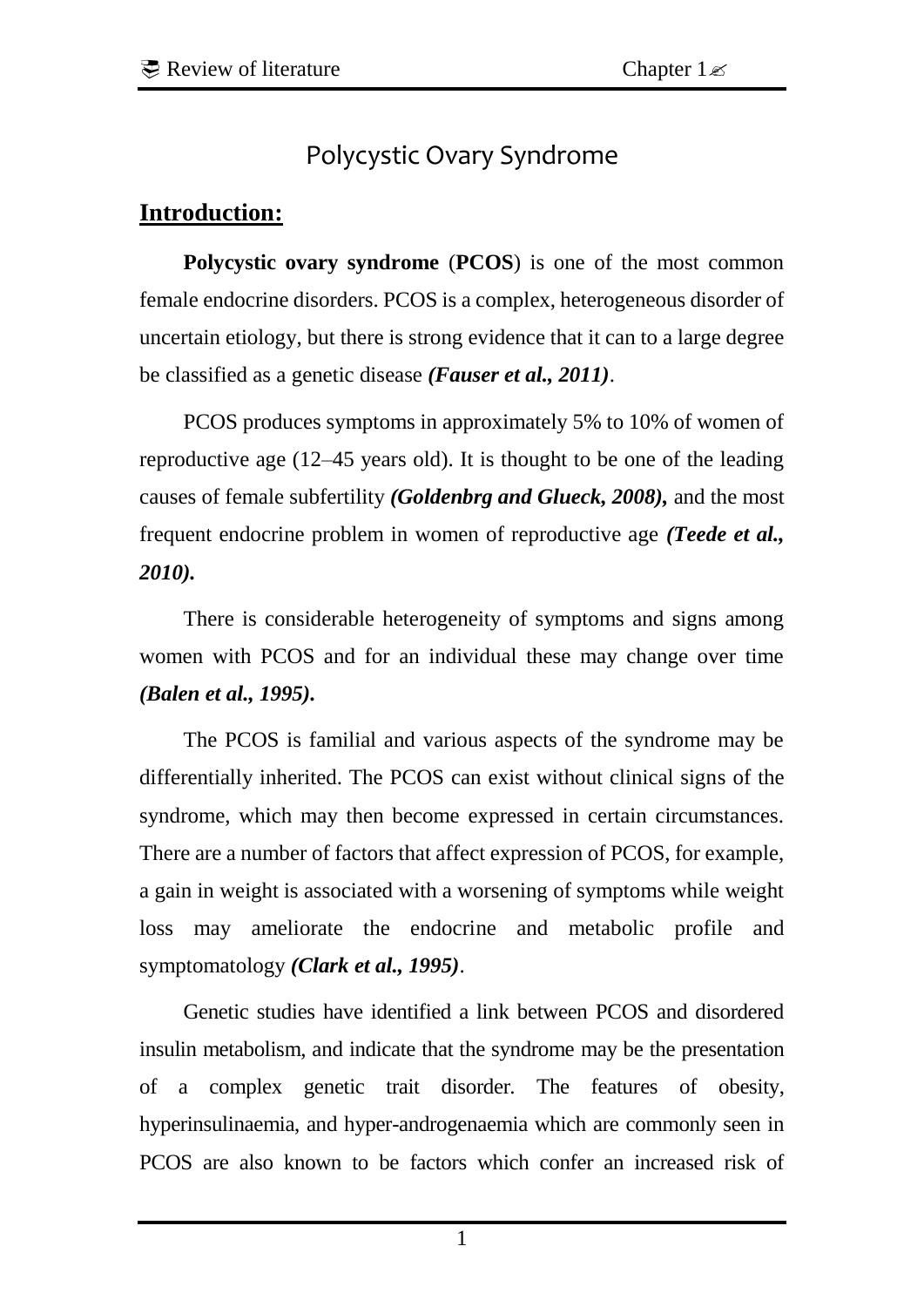# Polycystic Ovary Syndrome

### **Introduction:**

**Polycystic ovary syndrome** (**PCOS**) is one of the most common female [endocrine](http://en.wikipedia.org/wiki/Endocrine) disorders. PCOS is a complex, heterogeneous disorder of uncertain [etiology,](http://en.wikipedia.org/wiki/Etiology) but there is strong evidence that it can to a large degree be classified as a [genetic disease](http://en.wikipedia.org/wiki/Genetic_disease) *(Fauser et al., 2011)*.

PCOS produces symptoms in approximately 5% to 10% of women of reproductive age (12–45 years old). It is thought to be one of the leading causes of [female subfertility](http://en.wikipedia.org/wiki/Female_subfertility) *(Goldenbrg and Glueck, 2008),* and the most frequent endocrine problem in women of reproductive age *(Teede et al., 2010).* 

There is considerable heterogeneity of symptoms and signs among women with PCOS and for an individual these may change over time *(Balen et al., 1995).* 

The PCOS is familial and various aspects of the syndrome may be differentially inherited. The PCOS can exist without clinical signs of the syndrome, which may then become expressed in certain circumstances. There are a number of factors that affect expression of PCOS, for example, a gain in weight is associated with a worsening of symptoms while weight loss may ameliorate the endocrine and metabolic profile and symptomatology *(Clark et al., 1995)*.

Genetic studies have identified a link between PCOS and disordered insulin metabolism, and indicate that the syndrome may be the presentation of a complex genetic trait disorder. The features of obesity, hyperinsulinaemia, and hyper-androgenaemia which are commonly seen in PCOS are also known to be factors which confer an increased risk of

1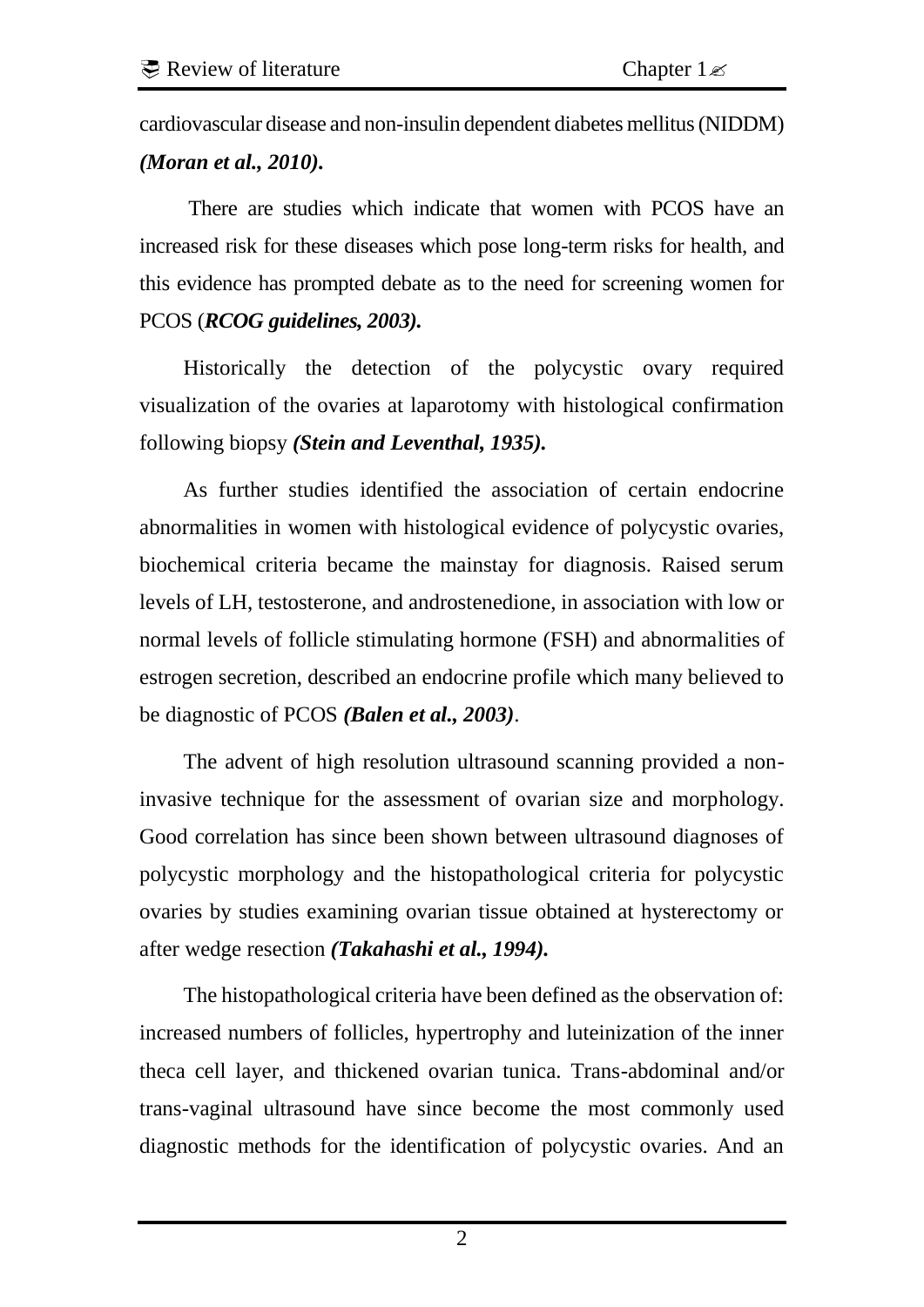cardiovascular disease and non-insulin dependent diabetes mellitus (NIDDM) *(Moran et al., 2010).* 

There are studies which indicate that women with PCOS have an increased risk for these diseases which pose long-term risks for health, and this evidence has prompted debate as to the need for screening women for PCOS (*RCOG guidelines, 2003).* 

Historically the detection of the polycystic ovary required visualization of the ovaries at laparotomy with histological confirmation following biopsy *(Stein and Leventhal, 1935).* 

As further studies identified the association of certain endocrine abnormalities in women with histological evidence of polycystic ovaries, biochemical criteria became the mainstay for diagnosis. Raised serum levels of LH, testosterone, and androstenedione, in association with low or normal levels of follicle stimulating hormone (FSH) and abnormalities of estrogen secretion, described an endocrine profile which many believed to be diagnostic of PCOS *(Balen et al., 2003)*.

The advent of high resolution ultrasound scanning provided a noninvasive technique for the assessment of ovarian size and morphology. Good correlation has since been shown between ultrasound diagnoses of polycystic morphology and the histopathological criteria for polycystic ovaries by studies examining ovarian tissue obtained at hysterectomy or after wedge resection *(Takahashi et al., 1994).* 

The histopathological criteria have been defined as the observation of: increased numbers of follicles, hypertrophy and luteinization of the inner theca cell layer, and thickened ovarian tunica. Trans-abdominal and/or trans-vaginal ultrasound have since become the most commonly used diagnostic methods for the identification of polycystic ovaries. And an

2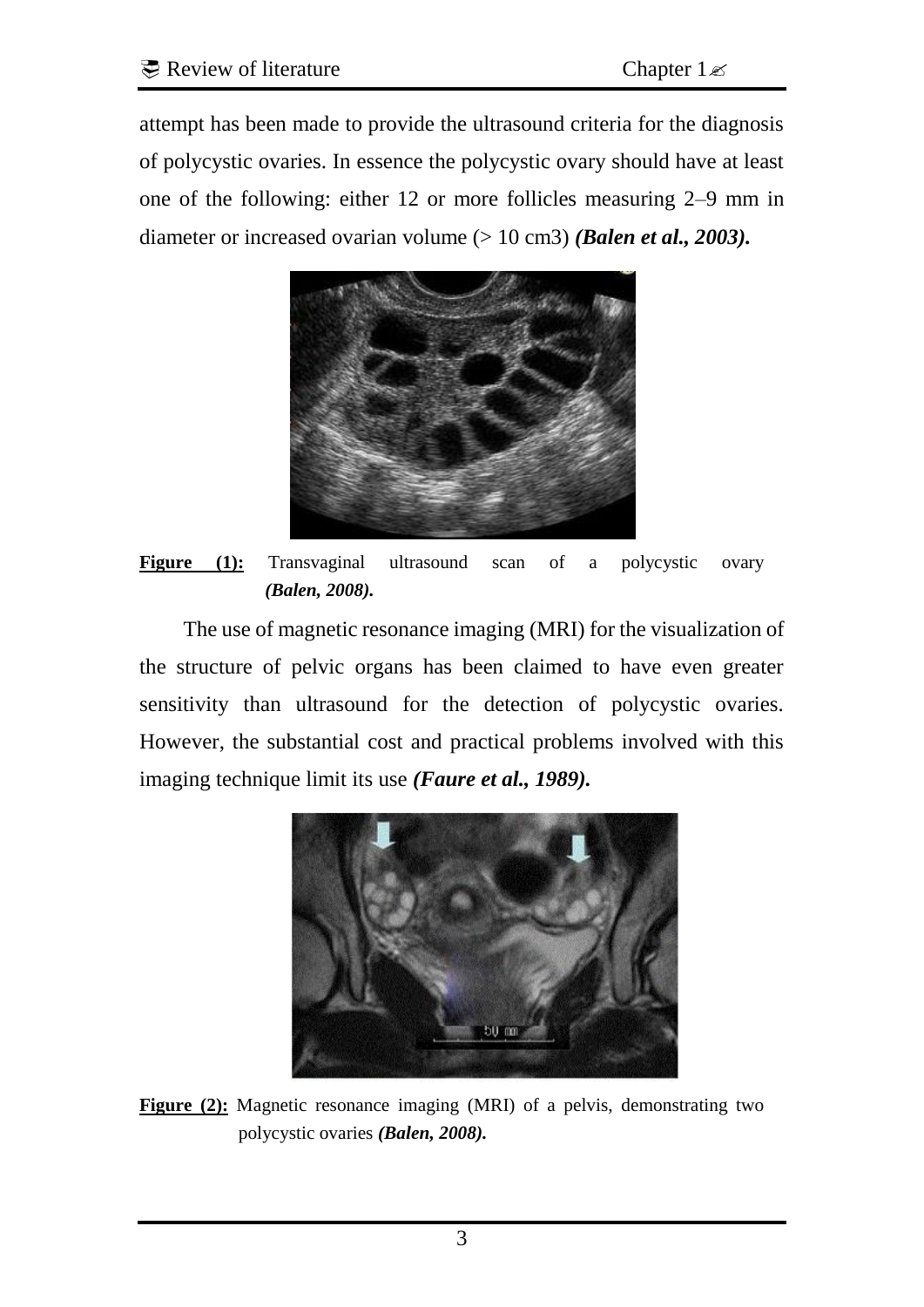attempt has been made to provide the ultrasound criteria for the diagnosis of polycystic ovaries. In essence the polycystic ovary should have at least one of the following: either 12 or more follicles measuring 2–9 mm in diameter or increased ovarian volume (> 10 cm3) *(Balen et al., 2003).* 



Figure (1): Transvaginal ultrasound scan of a polycystic ovary *(Balen, 2008).* 

The use of magnetic resonance imaging (MRI) for the visualization of the structure of pelvic organs has been claimed to have even greater sensitivity than ultrasound for the detection of polycystic ovaries. However, the substantial cost and practical problems involved with this imaging technique limit its use *(Faure et al., 1989).* 



**Figure (2):** Magnetic resonance imaging (MRI) of a pelvis, demonstrating two polycystic ovaries *(Balen, 2008).*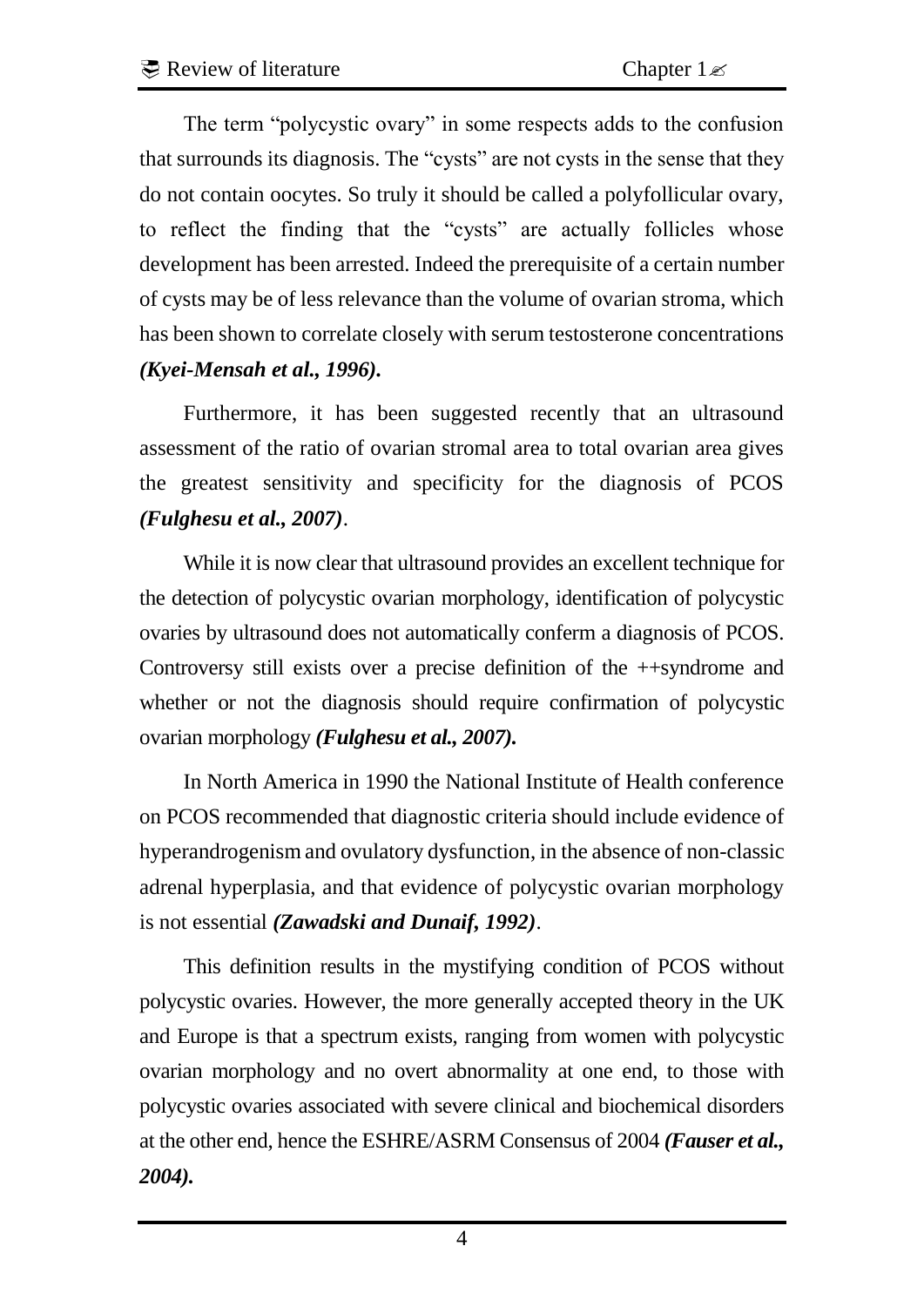The term "polycystic ovary" in some respects adds to the confusion that surrounds its diagnosis. The "cysts" are not cysts in the sense that they do not contain oocytes. So truly it should be called a polyfollicular ovary, to reflect the finding that the "cysts" are actually follicles whose development has been arrested. Indeed the prerequisite of a certain number of cysts may be of less relevance than the volume of ovarian stroma, which has been shown to correlate closely with serum testosterone concentrations *(Kyei-Mensah et al., 1996).* 

Furthermore, it has been suggested recently that an ultrasound assessment of the ratio of ovarian stromal area to total ovarian area gives the greatest sensitivity and specificity for the diagnosis of PCOS *(Fulghesu et al., 2007)*.

While it is now clear that ultrasound provides an excellent technique for the detection of polycystic ovarian morphology, identification of polycystic ovaries by ultrasound does not automatically conferm a diagnosis of PCOS. Controversy still exists over a precise definition of the ++syndrome and whether or not the diagnosis should require confirmation of polycystic ovarian morphology *(Fulghesu et al., 2007).* 

In North America in 1990 the National Institute of Health conference on PCOS recommended that diagnostic criteria should include evidence of hyperandrogenism and ovulatory dysfunction, in the absence of non-classic adrenal hyperplasia, and that evidence of polycystic ovarian morphology is not essential *(Zawadski and Dunaif, 1992)*.

This definition results in the mystifying condition of PCOS without polycystic ovaries. However, the more generally accepted theory in the UK and Europe is that a spectrum exists, ranging from women with polycystic ovarian morphology and no overt abnormality at one end, to those with polycystic ovaries associated with severe clinical and biochemical disorders at the other end, hence the ESHRE/ASRM Consensus of 2004 *(Fauser et al., 2004).*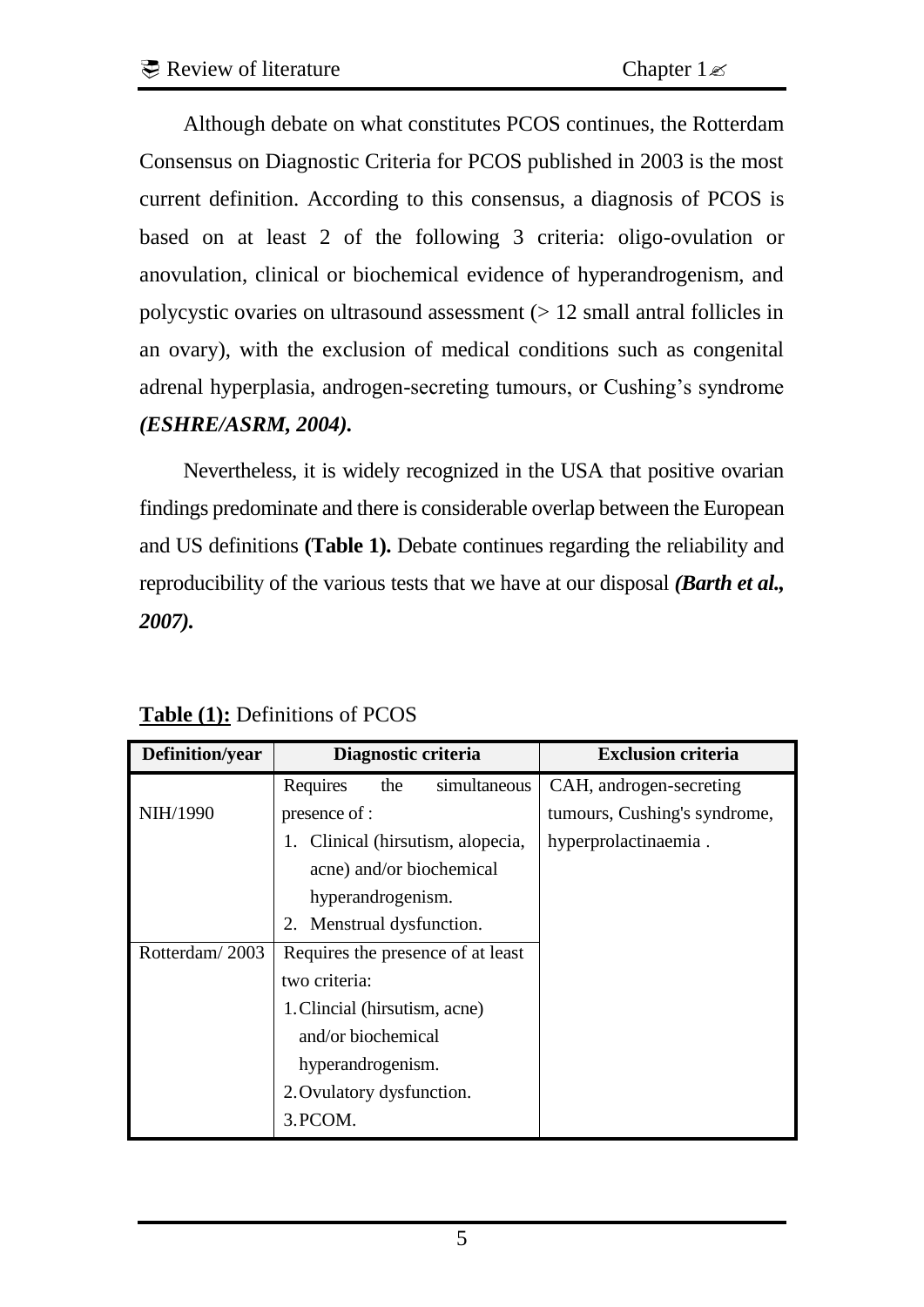Although debate on what constitutes PCOS continues, the Rotterdam Consensus on Diagnostic Criteria for PCOS published in 2003 is the most current definition. According to this consensus, a diagnosis of PCOS is based on at least 2 of the following 3 criteria: oligo-ovulation or anovulation, clinical or biochemical evidence of hyperandrogenism, and polycystic ovaries on ultrasound assessment  $($  > 12 small antral follicles in an ovary), with the exclusion of medical conditions such as congenital adrenal hyperplasia, androgen-secreting tumours, or Cushing's syndrome *(ESHRE/ASRM, 2004).* 

Nevertheless, it is widely recognized in the USA that positive ovarian findings predominate and there is considerable overlap between the European and US definitions **(Table 1).** Debate continues regarding the reliability and reproducibility of the various tests that we have at our disposal *(Barth et al., 2007).* 

| Definition/year | Diagnostic criteria               | <b>Exclusion criteria</b>    |
|-----------------|-----------------------------------|------------------------------|
|                 | simultaneous<br>Requires<br>the   | CAH, androgen-secreting      |
| NIH/1990        | presence of :                     | tumours, Cushing's syndrome, |
|                 | 1. Clinical (hirsutism, alopecia, | hyperprolactinaemia.         |
|                 | acne) and/or biochemical          |                              |
|                 | hyperandrogenism.                 |                              |
|                 | Menstrual dysfunction.<br>2.      |                              |
| Rotterdam/2003  | Requires the presence of at least |                              |
|                 | two criteria:                     |                              |
|                 | 1. Clincial (hirsutism, acne)     |                              |
|                 | and/or biochemical                |                              |
|                 | hyperandrogenism.                 |                              |
|                 | 2. Ovulatory dysfunction.         |                              |
|                 | 3. PCOM.                          |                              |

**Table (1):** Definitions of PCOS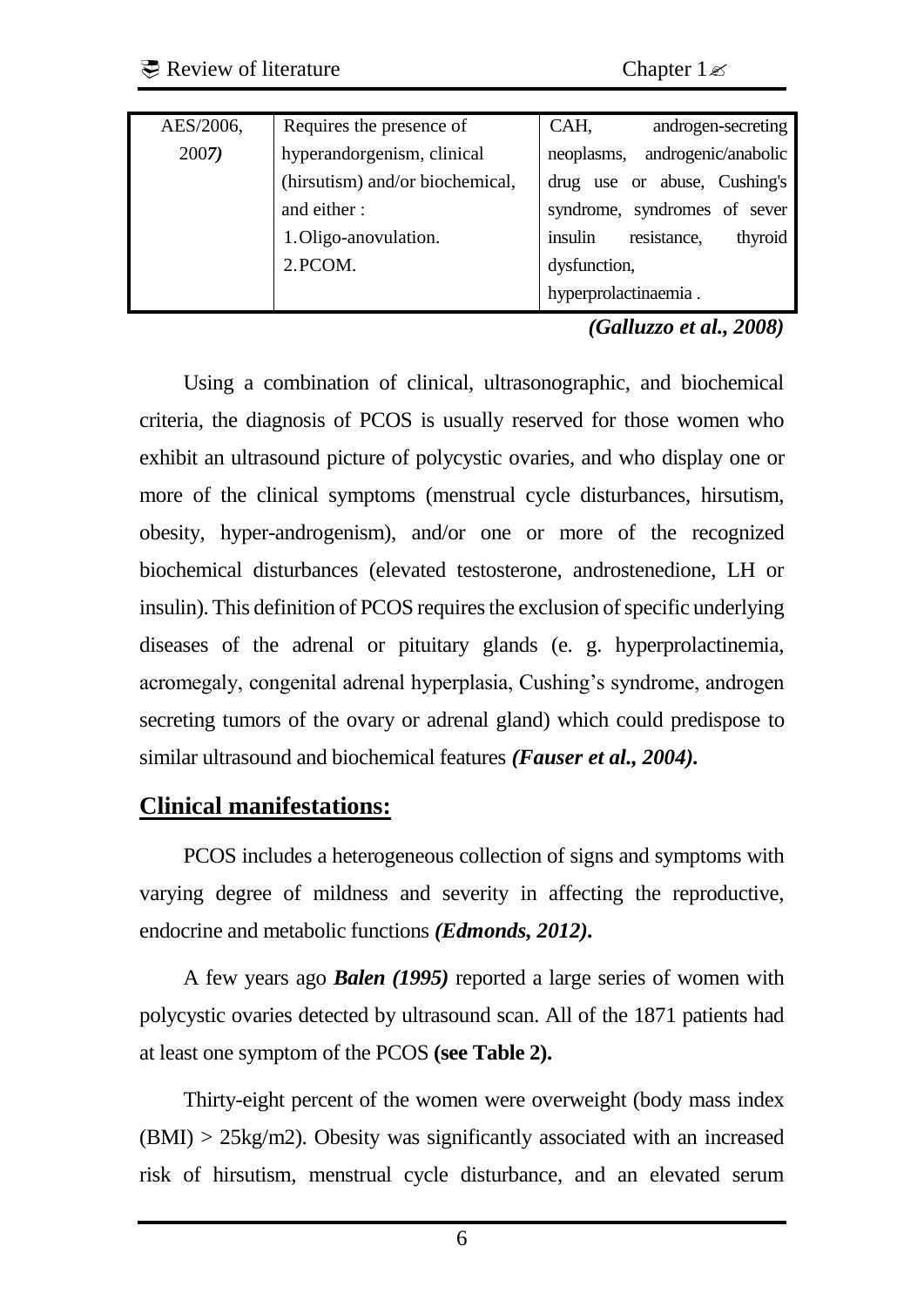| AES/2006, | Requires the presence of        | CAH,<br>androgen-secreting        |  |  |
|-----------|---------------------------------|-----------------------------------|--|--|
| 2007)     | hyperandorgenism, clinical      | androgenic/anabolic<br>neoplasms, |  |  |
|           | (hirsutism) and/or biochemical, | drug use or abuse, Cushing's      |  |  |
|           | and either:                     | syndrome, syndromes of sever      |  |  |
|           | 1. Oligo-anovulation.           | insulin<br>resistance,<br>thyroid |  |  |
|           | 2. PCOM.                        | dysfunction,                      |  |  |
|           |                                 | hyperprolactinaemia.              |  |  |

*(Galluzzo et al., 2008)*

Using a combination of clinical, ultrasonographic, and biochemical criteria, the diagnosis of PCOS is usually reserved for those women who exhibit an ultrasound picture of polycystic ovaries, and who display one or more of the clinical symptoms (menstrual cycle disturbances, hirsutism, obesity, hyper-androgenism), and/or one or more of the recognized biochemical disturbances (elevated testosterone, androstenedione, LH or insulin). This definition of PCOS requires the exclusion of specific underlying diseases of the adrenal or pituitary glands (e. g. hyperprolactinemia, acromegaly, congenital adrenal hyperplasia, Cushing's syndrome, androgen secreting tumors of the ovary or adrenal gland) which could predispose to similar ultrasound and biochemical features *(Fauser et al., 2004).* 

#### **Clinical manifestations:**

PCOS includes a heterogeneous collection of signs and symptoms with varying degree of mildness and severity in affecting the reproductive, endocrine and metabolic functions *(Edmonds, 2012).* 

A few years ago *Balen (1995)* reported a large series of women with polycystic ovaries detected by ultrasound scan. All of the 1871 patients had at least one symptom of the PCOS **(see Table 2).** 

Thirty-eight percent of the women were overweight (body mass index  $(BMI) > 25kg/m2$ ). Obesity was significantly associated with an increased risk of hirsutism, menstrual cycle disturbance, and an elevated serum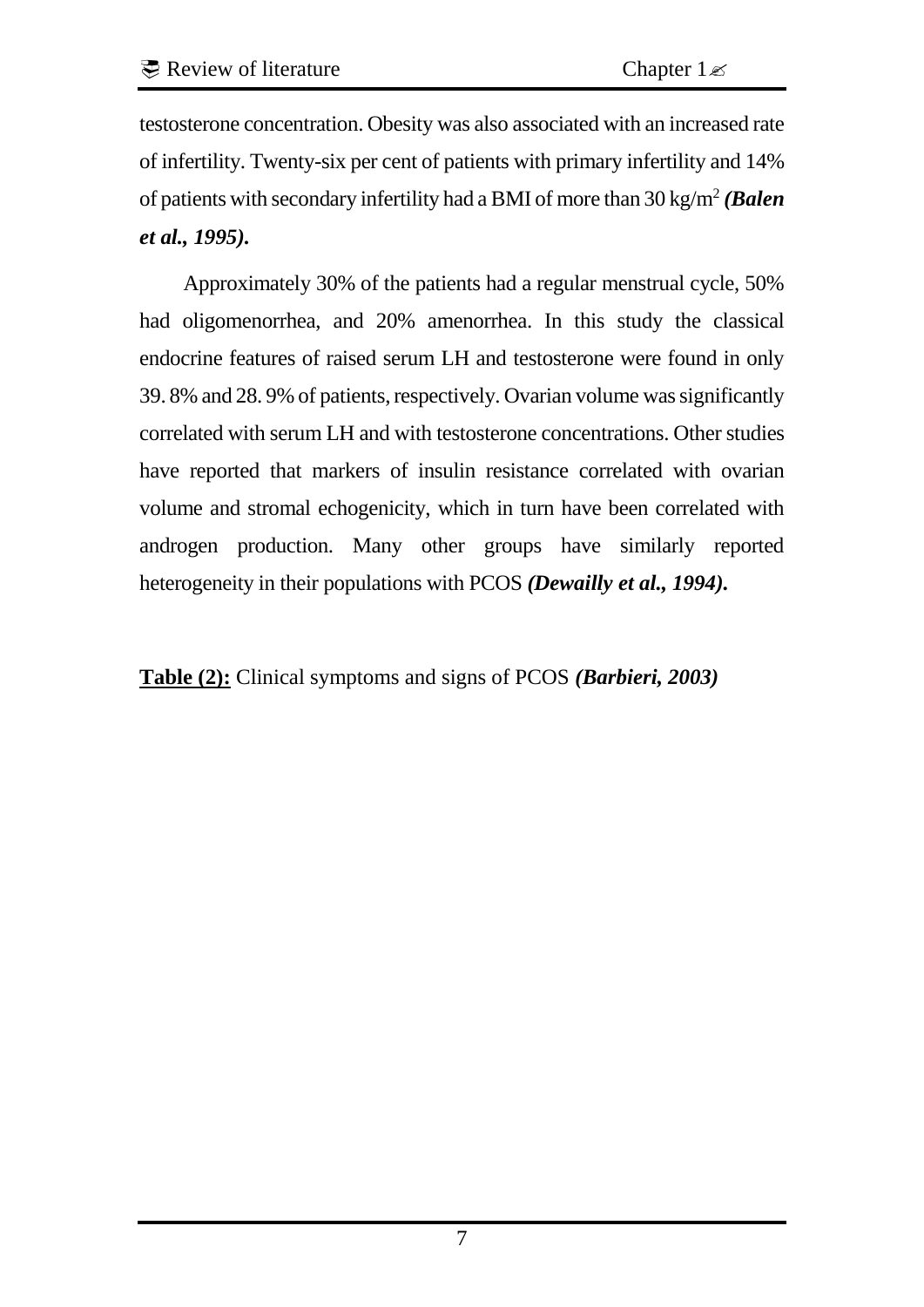testosterone concentration. Obesity was also associated with an increased rate of infertility. Twenty-six per cent of patients with primary infertility and 14% of patients with secondary infertility had a BMI of more than 30 kg/m<sup>2</sup> (*Balen et al., 1995).* 

Approximately 30% of the patients had a regular menstrual cycle, 50% had oligomenorrhea, and 20% amenorrhea. In this study the classical endocrine features of raised serum LH and testosterone were found in only 39. 8% and 28. 9% of patients, respectively. Ovarian volume was significantly correlated with serum LH and with testosterone concentrations. Other studies have reported that markers of insulin resistance correlated with ovarian volume and stromal echogenicity, which in turn have been correlated with androgen production. Many other groups have similarly reported heterogeneity in their populations with PCOS *(Dewailly et al., 1994).* 

**Table (2):** Clinical symptoms and signs of PCOS *(Barbieri, 2003)*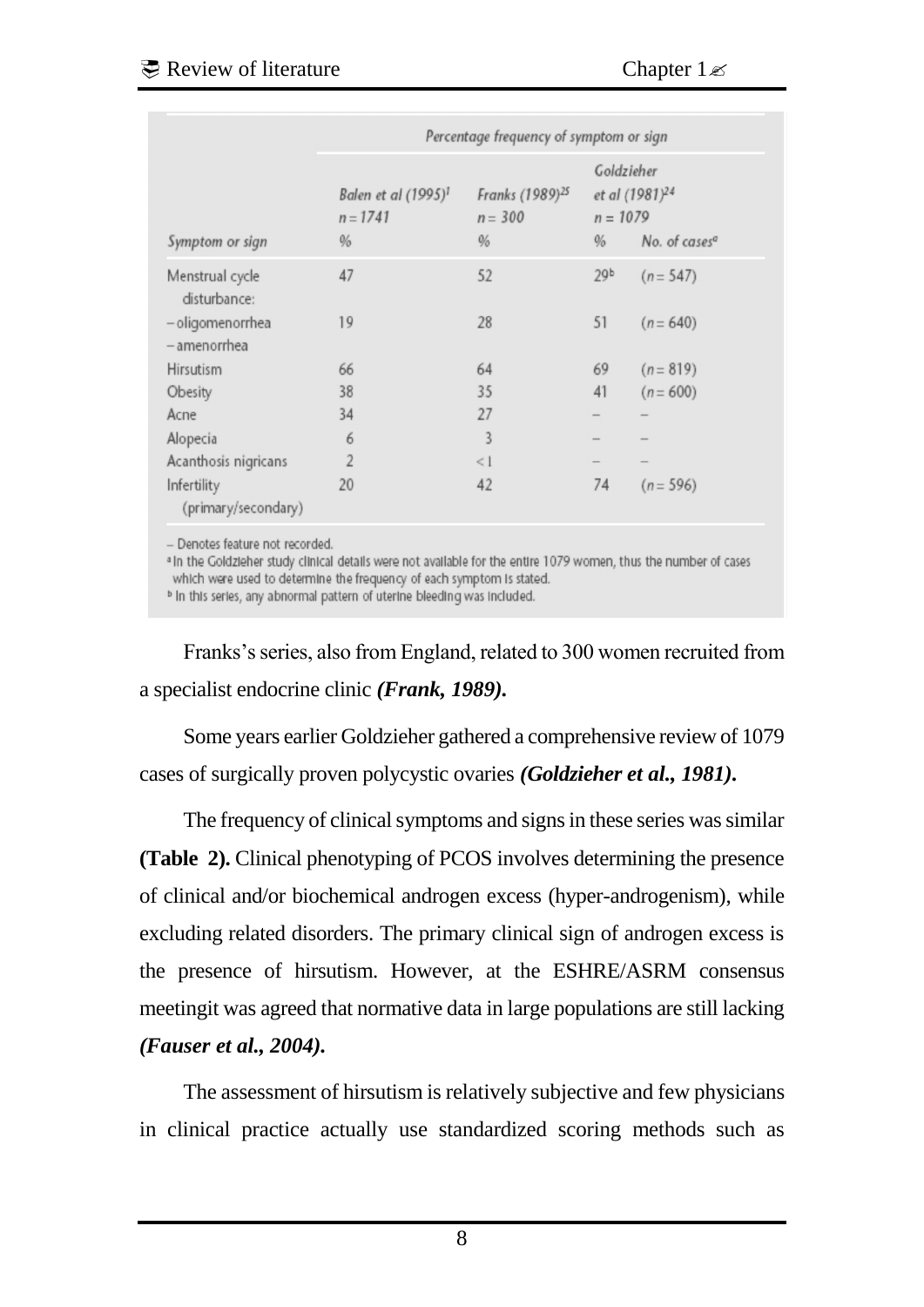|                                    | Percentage frequency of symptom or sign               |                                                  |                    |                                                                       |  |
|------------------------------------|-------------------------------------------------------|--------------------------------------------------|--------------------|-----------------------------------------------------------------------|--|
| Symptom or sign                    | Balen et al (1995) <sup>1</sup><br>$n = 1741$<br>$\%$ | Franks (1989) <sup>25</sup><br>$n = 300$<br>$\%$ | $n = 1079$<br>$\%$ | Goldzieher<br>et al (1981) <sup>24</sup><br>No. of cases <sup>a</sup> |  |
| Menstrual cycle<br>disturbance:    | 47                                                    | 52                                               | 29 <sup>b</sup>    | $(n = 547)$                                                           |  |
| - oligomenorrhea<br>- amenorrhea   | 19                                                    | 28                                               | 51                 | $(n = 640)$                                                           |  |
| Hirsutism                          | 66                                                    | 64                                               | 69                 | $(n = 819)$                                                           |  |
| Obesity                            | 38                                                    | 35                                               | 41                 | $(n = 600)$                                                           |  |
| Acne                               | 34                                                    | 27                                               |                    |                                                                       |  |
| Alopecia                           | 6                                                     | 3                                                |                    |                                                                       |  |
| Acanthosis nigricans               | $\overline{2}$                                        | <1                                               |                    |                                                                       |  |
| Infertility<br>(primary/secondary) | 20                                                    | 42                                               | 74                 | $(n = 596)$                                                           |  |

a In the Goldzieher study clinical details were not available for the entire 1079 women, thus the number of cases which were used to determine the frequency of each symptom is stated.

<sup>b</sup> In this series, any abnormal pattern of uterine bleeding was included.

Franks's series, also from England, related to 300 women recruited from a specialist endocrine clinic *(Frank, 1989).* 

Some years earlier Goldzieher gathered a comprehensive review of 1079 cases of surgically proven polycystic ovaries *(Goldzieher et al., 1981).* 

The frequency of clinical symptoms and signs in these series was similar **(Table 2).** Clinical phenotyping of PCOS involves determining the presence of clinical and/or biochemical androgen excess (hyper-androgenism), while excluding related disorders. The primary clinical sign of androgen excess is the presence of hirsutism. However, at the ESHRE/ASRM consensus meetingit was agreed that normative data in large populations are still lacking *(Fauser et al., 2004).* 

The assessment of hirsutism is relatively subjective and few physicians in clinical practice actually use standardized scoring methods such as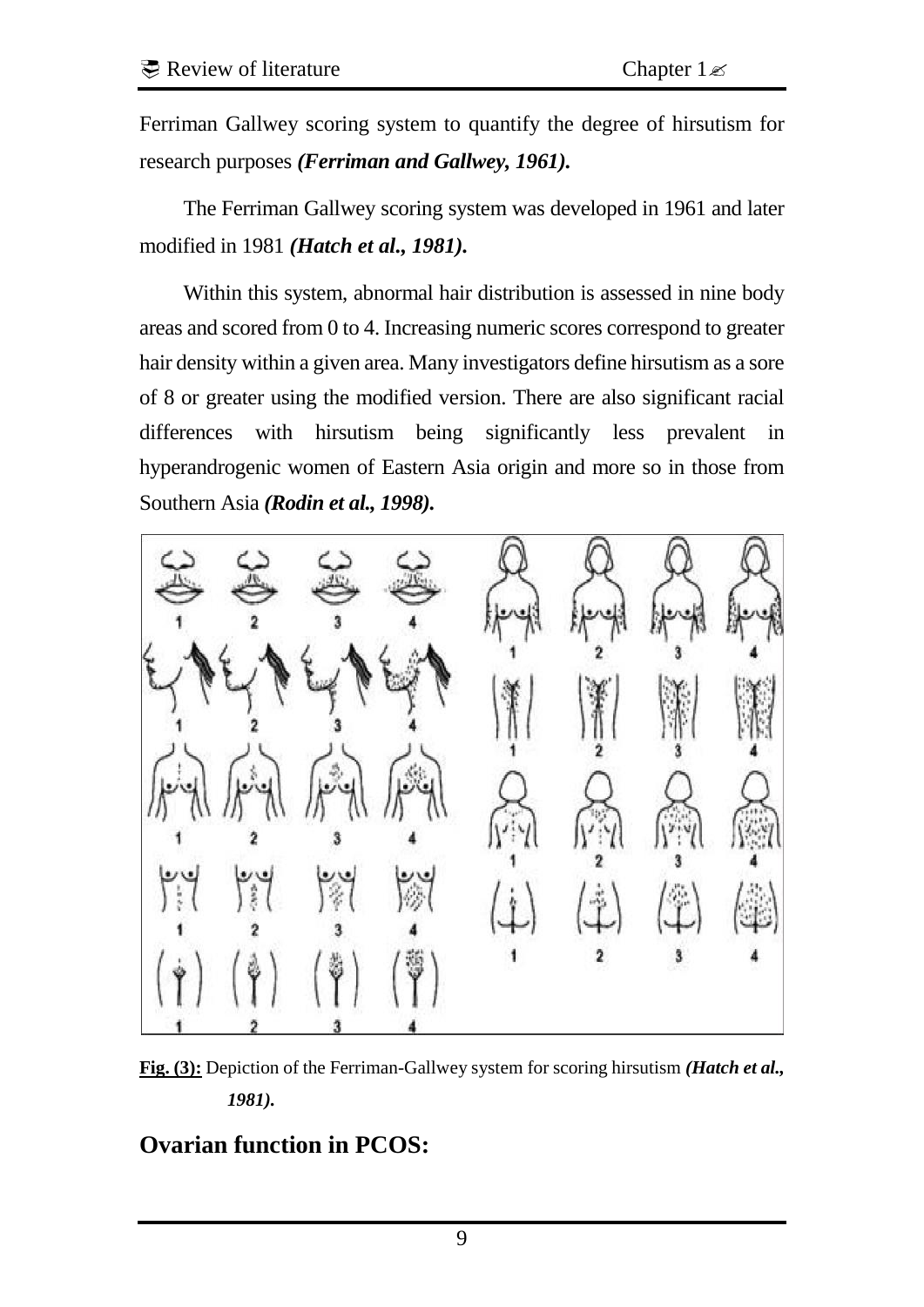Ferriman Gallwey scoring system to quantify the degree of hirsutism for research purposes *(Ferriman and Gallwey, 1961).* 

The Ferriman Gallwey scoring system was developed in 1961 and later modified in 1981 *(Hatch et al., 1981).* 

Within this system, abnormal hair distribution is assessed in nine body areas and scored from 0 to 4. Increasing numeric scores correspond to greater hair density within a given area. Many investigators define hirsutism as a sore of 8 or greater using the modified version. There are also significant racial differences with hirsutism being significantly less prevalent in hyperandrogenic women of Eastern Asia origin and more so in those from Southern Asia *(Rodin et al., 1998).* 



**Fig. (3):** Depiction of the Ferriman-Gallwey system for scoring hirsutism *(Hatch et al., 1981).* 

## **Ovarian function in PCOS:**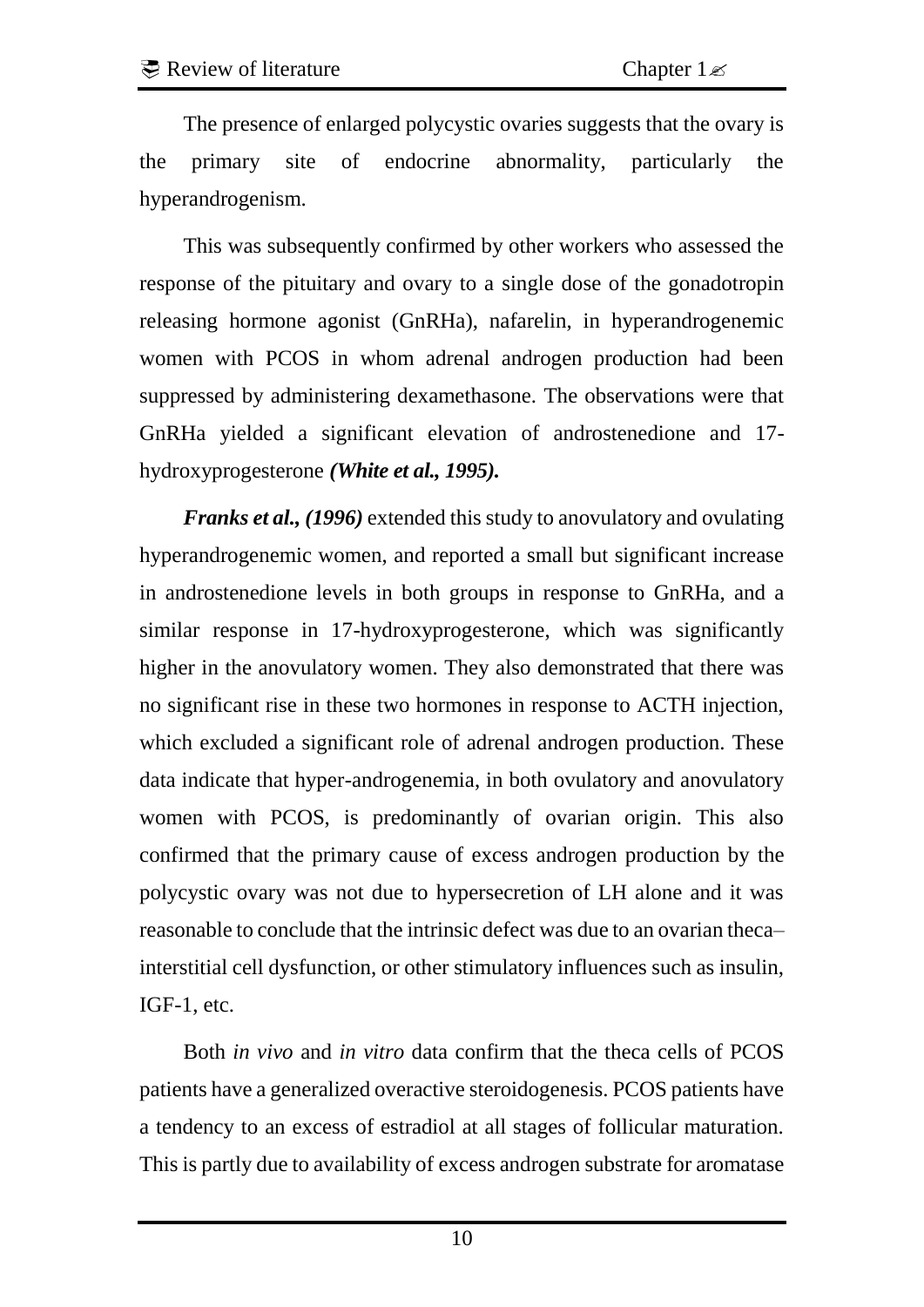The presence of enlarged polycystic ovaries suggests that the ovary is the primary site of endocrine abnormality, particularly the hyperandrogenism.

This was subsequently confirmed by other workers who assessed the response of the pituitary and ovary to a single dose of the gonadotropin releasing hormone agonist (GnRHa), nafarelin, in hyperandrogenemic women with PCOS in whom adrenal androgen production had been suppressed by administering dexamethasone. The observations were that GnRHa yielded a significant elevation of androstenedione and 17 hydroxyprogesterone *(White et al., 1995).* 

*Franks et al., (1996)* extended this study to anovulatory and ovulating hyperandrogenemic women, and reported a small but significant increase in androstenedione levels in both groups in response to GnRHa, and a similar response in 17-hydroxyprogesterone, which was significantly higher in the anovulatory women. They also demonstrated that there was no significant rise in these two hormones in response to ACTH injection, which excluded a significant role of adrenal androgen production. These data indicate that hyper-androgenemia, in both ovulatory and anovulatory women with PCOS, is predominantly of ovarian origin. This also confirmed that the primary cause of excess androgen production by the polycystic ovary was not due to hypersecretion of LH alone and it was reasonable to conclude that the intrinsic defect was due to an ovarian theca– interstitial cell dysfunction, or other stimulatory influences such as insulin, IGF-1, etc.

Both *in vivo* and *in vitro* data confirm that the theca cells of PCOS patients have a generalized overactive steroidogenesis. PCOS patients have a tendency to an excess of estradiol at all stages of follicular maturation. This is partly due to availability of excess androgen substrate for aromatase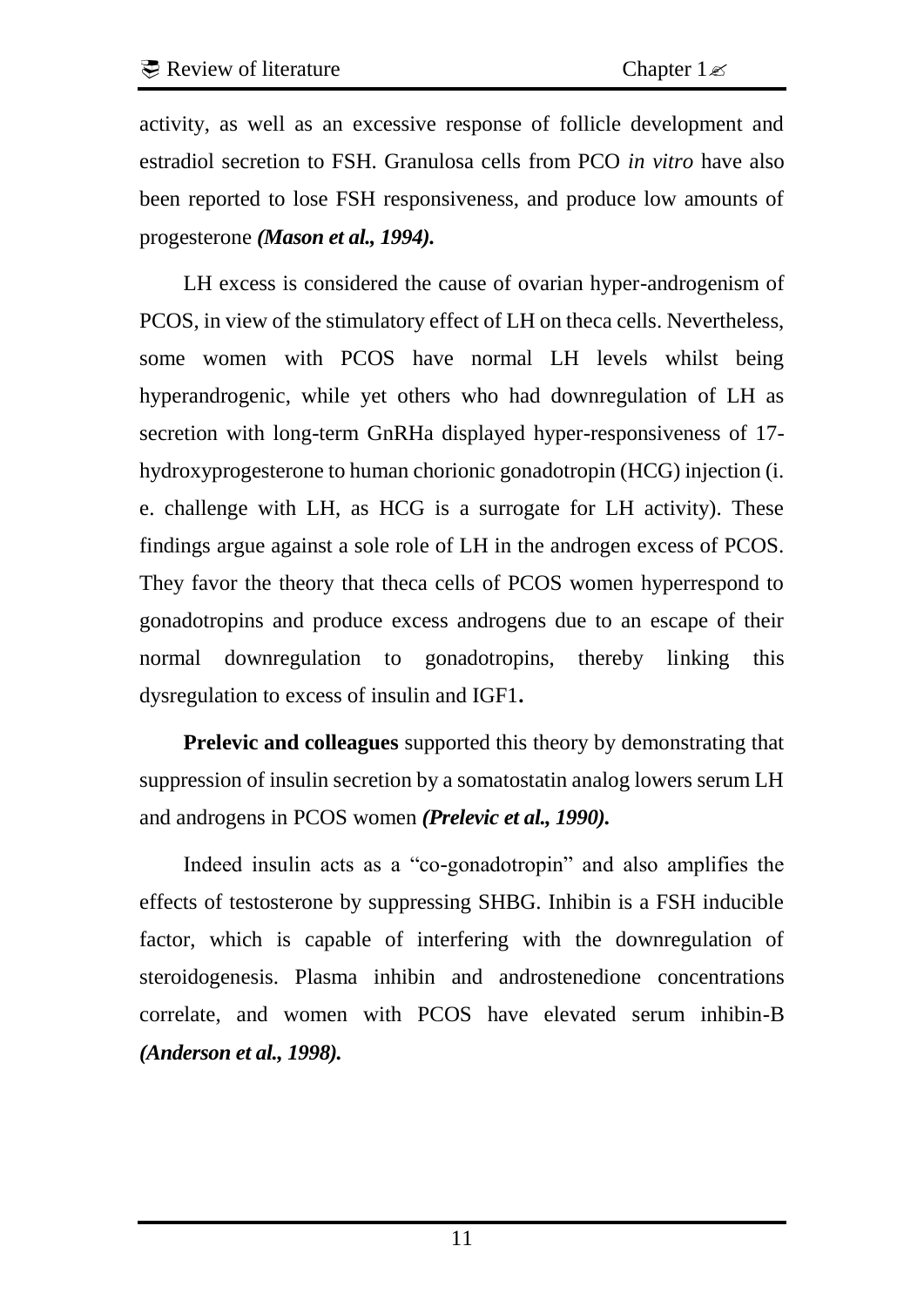activity, as well as an excessive response of follicle development and estradiol secretion to FSH. Granulosa cells from PCO *in vitro* have also been reported to lose FSH responsiveness, and produce low amounts of progesterone *(Mason et al., 1994).* 

LH excess is considered the cause of ovarian hyper-androgenism of PCOS, in view of the stimulatory effect of LH on theca cells. Nevertheless, some women with PCOS have normal LH levels whilst being hyperandrogenic, while yet others who had downregulation of LH as secretion with long-term GnRHa displayed hyper-responsiveness of 17 hydroxyprogesterone to human chorionic gonadotropin (HCG) injection (i. e. challenge with LH, as HCG is a surrogate for LH activity). These findings argue against a sole role of LH in the androgen excess of PCOS. They favor the theory that theca cells of PCOS women hyperrespond to gonadotropins and produce excess androgens due to an escape of their normal downregulation to gonadotropins, thereby linking this dysregulation to excess of insulin and IGF1**.** 

**Prelevic and colleagues** supported this theory by demonstrating that suppression of insulin secretion by a somatostatin analog lowers serum LH and androgens in PCOS women *(Prelevic et al., 1990).* 

Indeed insulin acts as a "co-gonadotropin" and also amplifies the effects of testosterone by suppressing SHBG. Inhibin is a FSH inducible factor, which is capable of interfering with the downregulation of steroidogenesis. Plasma inhibin and androstenedione concentrations correlate, and women with PCOS have elevated serum inhibin-B *(Anderson et al., 1998).*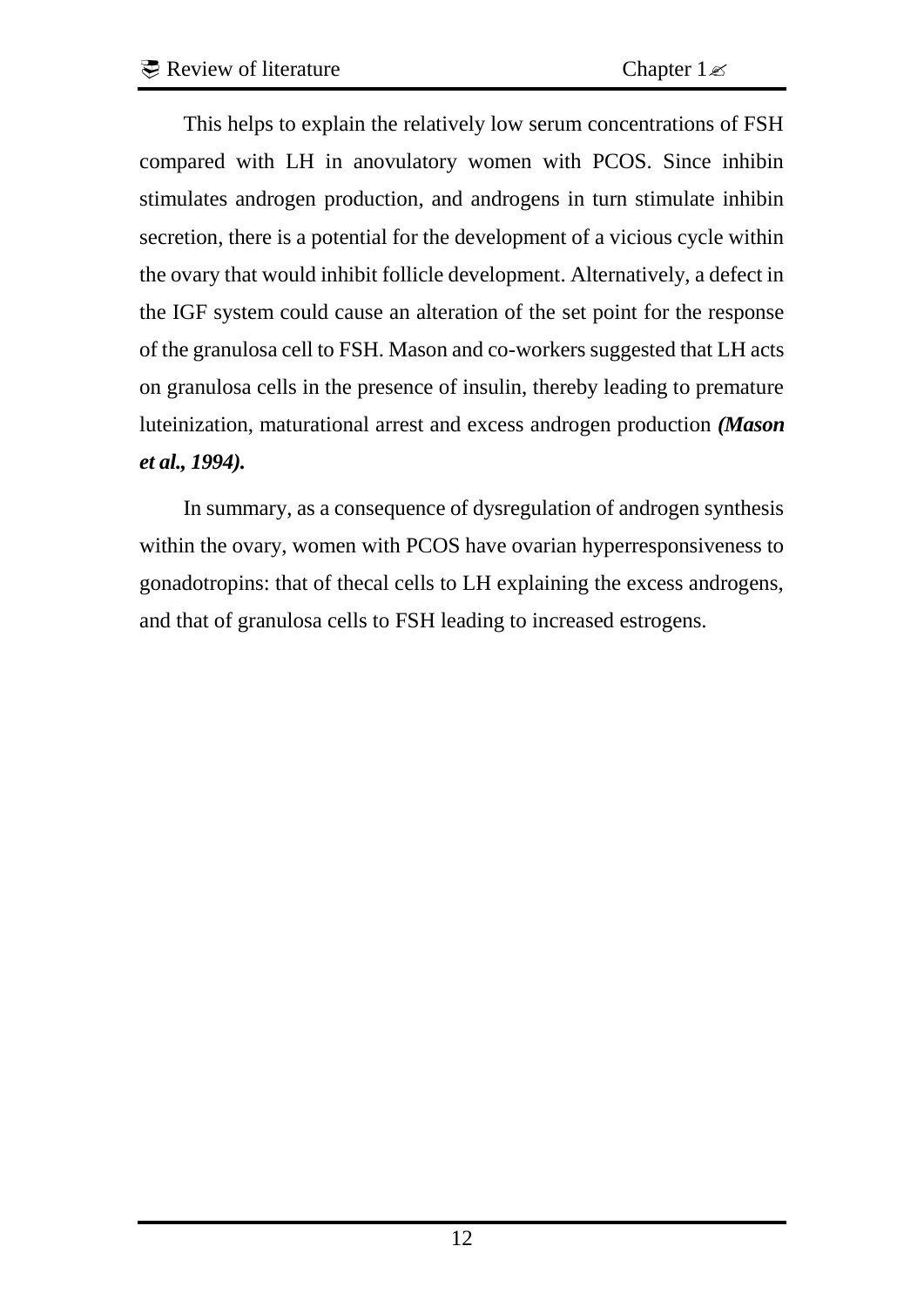This helps to explain the relatively low serum concentrations of FSH compared with LH in anovulatory women with PCOS. Since inhibin stimulates androgen production, and androgens in turn stimulate inhibin secretion, there is a potential for the development of a vicious cycle within the ovary that would inhibit follicle development. Alternatively, a defect in the IGF system could cause an alteration of the set point for the response of the granulosa cell to FSH. Mason and co-workers suggested that LH acts on granulosa cells in the presence of insulin, thereby leading to premature luteinization, maturational arrest and excess androgen production *(Mason et al., 1994).* 

In summary, as a consequence of dysregulation of androgen synthesis within the ovary, women with PCOS have ovarian hyperresponsiveness to gonadotropins: that of thecal cells to LH explaining the excess androgens, and that of granulosa cells to FSH leading to increased estrogens.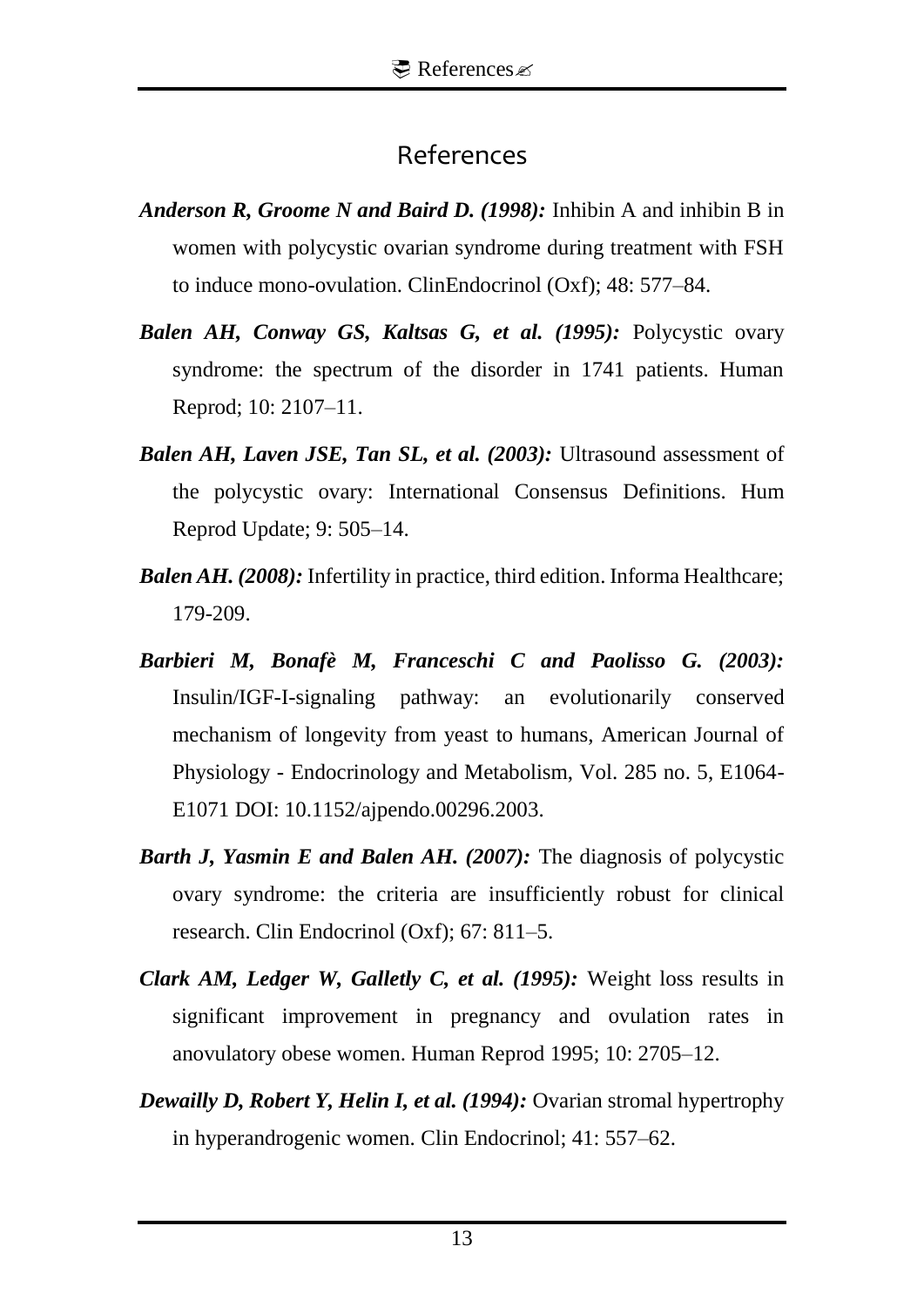## References

- *Anderson R, Groome N and Baird D. (1998):* Inhibin A and inhibin B in women with polycystic ovarian syndrome during treatment with FSH to induce mono-ovulation. ClinEndocrinol (Oxf); 48: 577–84.
- *Balen AH, Conway GS, Kaltsas G, et al. (1995):* Polycystic ovary syndrome: the spectrum of the disorder in 1741 patients. Human Reprod; 10: 2107–11.
- *Balen AH, Laven JSE, Tan SL, et al. (2003):* Ultrasound assessment of the polycystic ovary: International Consensus Definitions. Hum Reprod Update; 9: 505–14.
- *Balen AH. (2008):* Infertility in practice, third edition. Informa Healthcare; 179-209.
- *Barbieri M, Bonafè M, Franceschi C and Paolisso G. (2003):* Insulin/IGF-I-signaling pathway: an evolutionarily conserved mechanism of longevity from yeast to humans, American Journal of Physiology - Endocrinology and Metabolism, Vol. 285 no. 5, E1064- E1071 DOI: 10.1152/ajpendo.00296.2003.
- *Barth J, Yasmin E and Balen AH. (2007):* The diagnosis of polycystic ovary syndrome: the criteria are insufficiently robust for clinical research. Clin Endocrinol (Oxf); 67: 811–5.
- *Clark AM, Ledger W, Galletly C, et al. (1995):* Weight loss results in significant improvement in pregnancy and ovulation rates in anovulatory obese women. Human Reprod 1995; 10: 2705–12.
- *Dewailly D, Robert Y, Helin I, et al. (1994):* Ovarian stromal hypertrophy in hyperandrogenic women. Clin Endocrinol; 41: 557–62.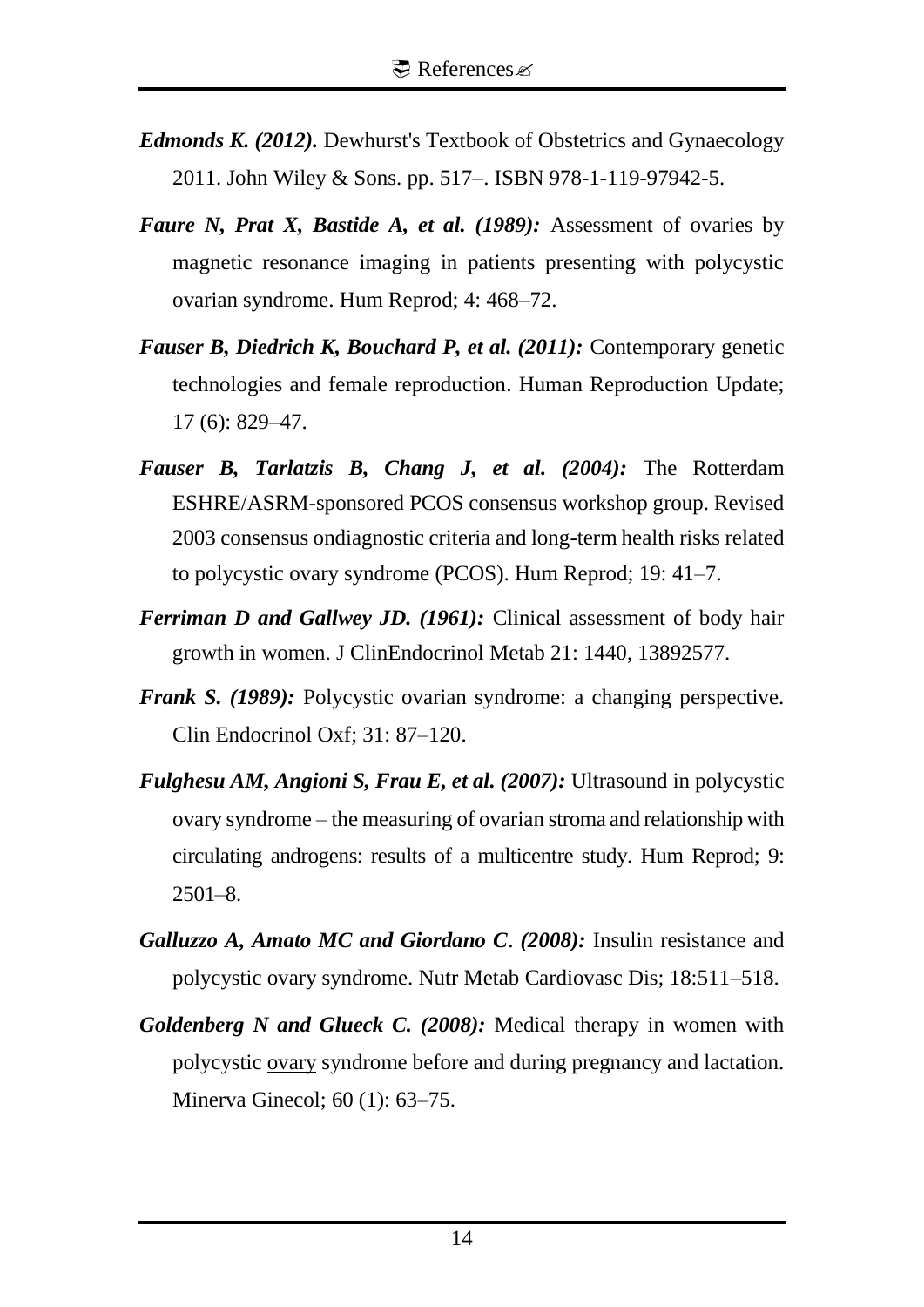- *Edmonds K. (2012).* Dewhurst's Textbook of Obstetrics and Gynaecology 2011. John Wiley & Sons. pp. 517–. ISBN 978-1-119-97942-5.
- *Faure N, Prat X, Bastide A, et al. (1989):* Assessment of ovaries by magnetic resonance imaging in patients presenting with polycystic ovarian syndrome. Hum Reprod; 4: 468–72.
- *Fauser B, Diedrich K, Bouchard P, et al. (2011):* [Contemporary genetic](http://www.ncbi.nlm.nih.gov/pmc/articles/PMC3191938/)  [technologies and female reproduction.](http://www.ncbi.nlm.nih.gov/pmc/articles/PMC3191938/) Human Reproduction Update; 17 (6): 829–47.
- *Fauser B, Tarlatzis B, Chang J, et al. (2004):* The Rotterdam ESHRE/ASRM-sponsored PCOS consensus workshop group. Revised 2003 consensus ondiagnostic criteria and long-term health risks related to polycystic ovary syndrome (PCOS). Hum Reprod; 19: 41–7.
- *Ferriman D and Gallwey JD. (1961):* Clinical assessment of body hair growth in women. J ClinEndocrinol Metab 21: 1440, 13892577.
- *Frank S. (1989):* Polycystic ovarian syndrome: a changing perspective. Clin Endocrinol Oxf; 31: 87–120.
- *Fulghesu AM, Angioni S, Frau E, et al. (2007):* Ultrasound in polycystic ovary syndrome – the measuring of ovarian stroma and relationship with circulating androgens: results of a multicentre study. Hum Reprod; 9: 2501–8.
- *Galluzzo A, Amato MC and Giordano C*. *(2008):* Insulin resistance and polycystic ovary syndrome. Nutr Metab Cardiovasc Dis; 18:511–518.
- *Goldenberg N and Glueck C. (2008):* Medical therapy in women with polycystic [ovary](http://en.wikipedia.org/wiki/Ovary) syndrome before and during pregnancy and lactation. Minerva Ginecol; 60 (1): 63–75.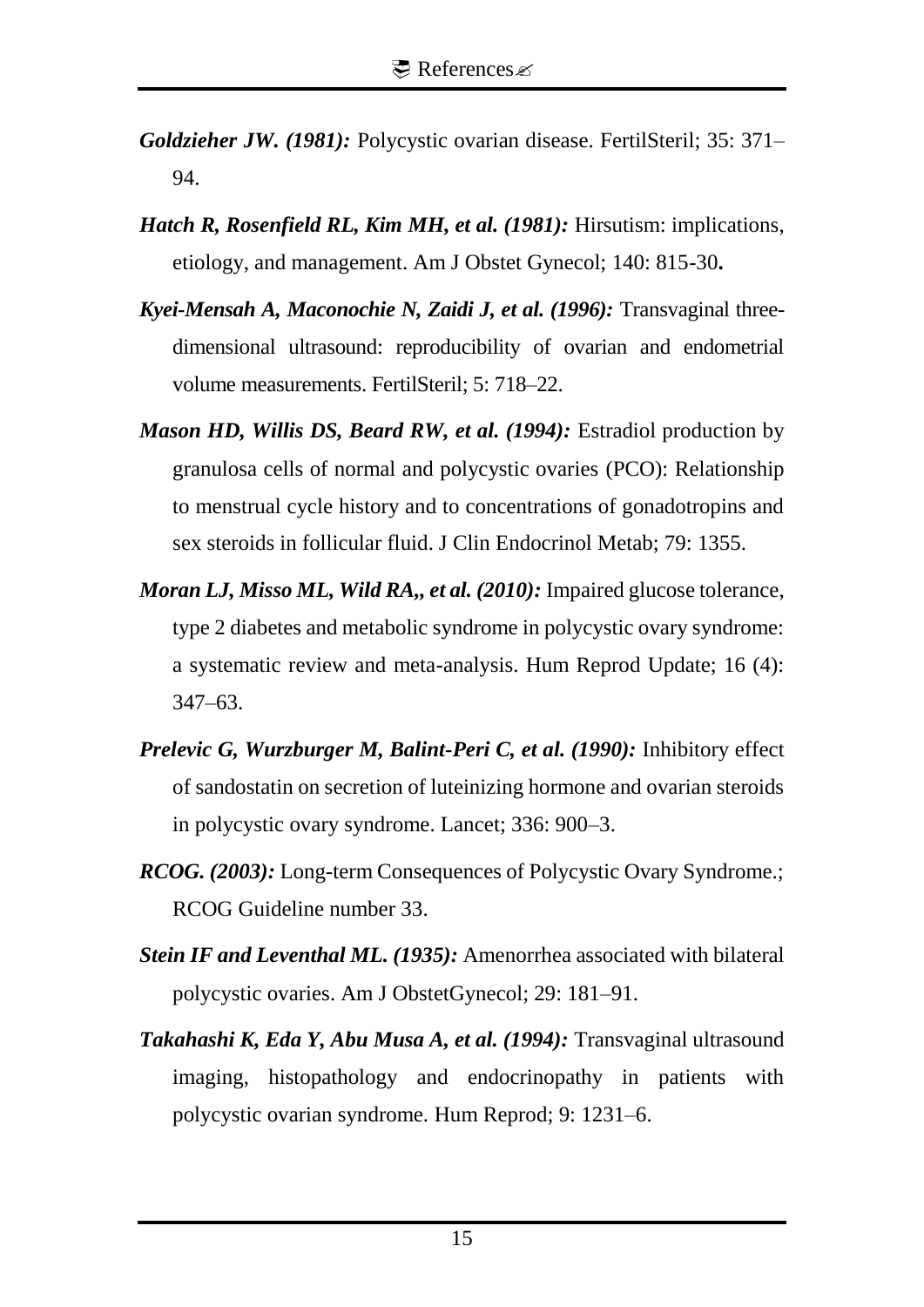- *Goldzieher JW. (1981):* Polycystic ovarian disease. FertilSteril; 35: 371– 94.
- *Hatch R, Rosenfield RL, Kim MH, et al. (1981):* Hirsutism: implications, etiology, and management. Am J Obstet Gynecol; 140: 815-30**.**
- *Kyei-Mensah A, Maconochie N, Zaidi J, et al. (1996):* Transvaginal threedimensional ultrasound: reproducibility of ovarian and endometrial volume measurements. FertilSteril; 5: 718–22.
- *Mason HD, Willis DS, Beard RW, et al. (1994):* Estradiol production by granulosa cells of normal and polycystic ovaries (PCO): Relationship to menstrual cycle history and to concentrations of gonadotropins and sex steroids in follicular fluid. J Clin Endocrinol Metab; 79: 1355.
- *Moran LJ, Misso ML, Wild RA,, et al. (2010):* Impaired glucose tolerance, type 2 diabetes and metabolic syndrome in polycystic ovary syndrome: a systematic review and meta-analysis. Hum Reprod Update; 16 (4): 347–63.
- *Prelevic G, Wurzburger M, Balint-Peri C, et al. (1990):* Inhibitory effect of sandostatin on secretion of luteinizing hormone and ovarian steroids in polycystic ovary syndrome. Lancet; 336: 900–3.
- *RCOG. (2003):* Long-term Consequences of Polycystic Ovary Syndrome.; RCOG Guideline number 33.
- *Stein IF and Leventhal ML. (1935):* Amenorrhea associated with bilateral polycystic ovaries. Am J ObstetGynecol; 29: 181–91.
- *Takahashi K, Eda Y, Abu Musa A, et al. (1994):* Transvaginal ultrasound imaging, histopathology and endocrinopathy in patients with polycystic ovarian syndrome. Hum Reprod; 9: 1231–6.